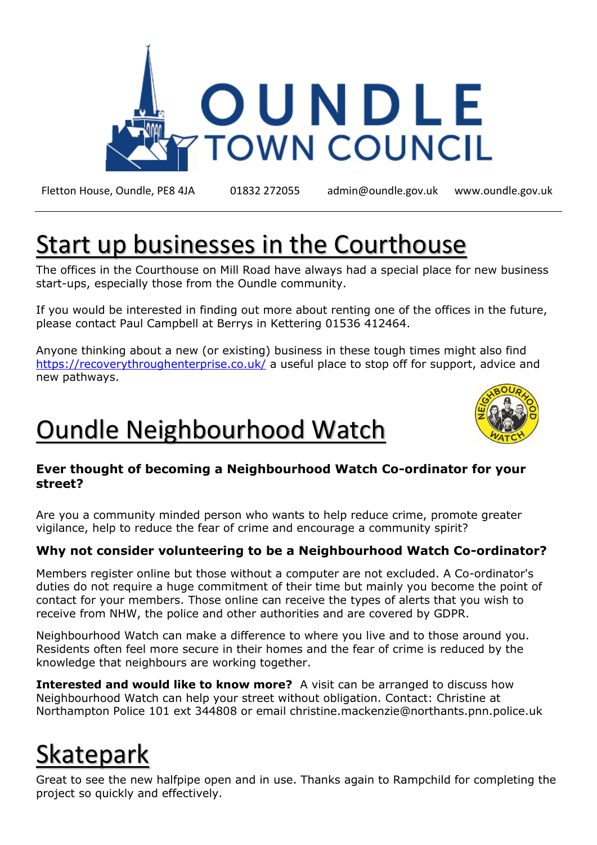

Fletton House, Oundle, PE8 4JA 01832 272055 admin@oundle.gov.uk [www.oundle.gov.uk](http://www.oundle.gov.uk/)

# Start up businesses in the Courthouse

The offices in the Courthouse on Mill Road have always had a special place for new business start-ups, especially those from the Oundle community.

If you would be interested in finding out more about renting one of the offices in the future, please contact Paul Campbell at Berrys in Kettering 01536 412464.

Anyone thinking about a new (or existing) business in these tough times might also find <https://recoverythroughenterprise.co.uk/> a useful place to stop off for support, advice and new pathways.

## Oundle Neighbourhood Watch



#### **Ever thought of becoming a Neighbourhood Watch Co-ordinator for your street?**

Are you a community minded person who wants to help reduce crime, promote greater vigilance, help to reduce the fear of crime and encourage a community spirit?

#### **Why not consider volunteering to be a Neighbourhood Watch Co-ordinator?**

Members register online but those without a computer are not excluded. A Co-ordinator's duties do not require a huge commitment of their time but mainly you become the point of contact for your members. Those online can receive the types of alerts that you wish to receive from NHW, the police and other authorities and are covered by GDPR.

Neighbourhood Watch can make a difference to where you live and to those around you. Residents often feel more secure in their homes and the fear of crime is reduced by the knowledge that neighbours are working together.

**Interested and would like to know more?** A visit can be arranged to discuss how Neighbourhood Watch can help your street without obligation. Contact: Christine at Northampton Police 101 ext 344808 or email christine.mackenzie@northants.pnn.police.uk

# Skatepark

Great to see the new halfpipe open and in use. Thanks again to Rampchild for completing the project so quickly and effectively.